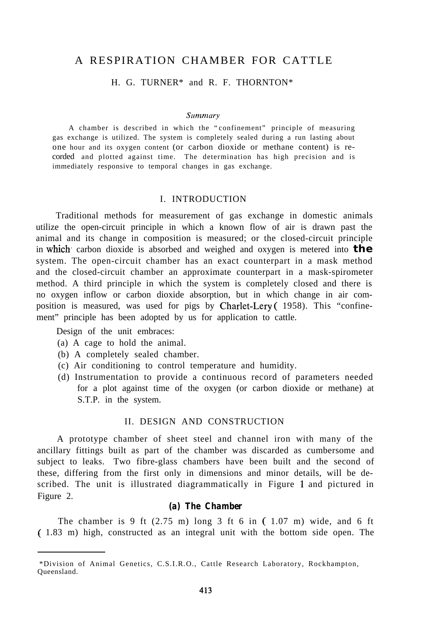## A RESPIRATION CHAMBER FOR CATTLE

## H. G. TURNER\* and R. F. THORNTON\*

#### **Summary**

A chamber is described in which the "confinement" principle of measuring gas exchange is utilized. The system is completely sealed during a run lasting about one hour and its oxygen content (or carbon dioxide or methane content) is recorded and plotted against time. The determination has high precision and is immediately responsive to temporal changes in gas exchange.

#### I. INTRODUCTION

Traditional methods for measurement of gas exchange in domestic animals utilize the open-circuit principle in which a known flow of air is drawn past the animal and its change in composition is measured; or the closed-circuit principle in which. carbon dioxide is absorbed and weighed and oxygen is metered into **the** system. The open-circuit chamber has an exact counterpart in a mask method and the closed-circuit chamber an approximate counterpart in a mask-spirometer method. A third principle in which the system is completely closed and there is no oxygen inflow or carbon dioxide absorption, but in which change in air composition is measured, was used for pigs by Charlet-Lery ( 1958). This "confinement" principle has been adopted by us for application to cattle.

Design of the unit embraces:

- (a) A cage to hold the animal.
- (b) A completely sealed chamber.
- (c) Air conditioning to control temperature and humidity.
- (d) Instrumentation to provide a continuous record of parameters needed for a plot against time of the oxygen (or carbon dioxide or methane) at S.T.P. in the system.

#### II. DESIGN AND CONSTRUCTION

A prototype chamber of sheet steel and channel iron with many of the ancillary fittings built as part of the chamber was discarded as cumbersome and subject to leaks. Two fibre-glass chambers have been built and the second of these, differing from the first only in dimensions and minor details, will be described. The unit is illustrated diagrammatically in Figure 1 and pictured in Figure 2.

#### *(a) The Chamber*

The chamber is 9 ft  $(2.75 \text{ m})$  long 3 ft 6 in  $(1.07 \text{ m})$  wide, and 6 ft ( 1.83 m) high, constructed as an integral unit with the bottom side open. The

<sup>\*</sup>Division of Animal Genetics, C.S.I.R.O., Cattle Research Laboratory, Rockhampton, Queensland.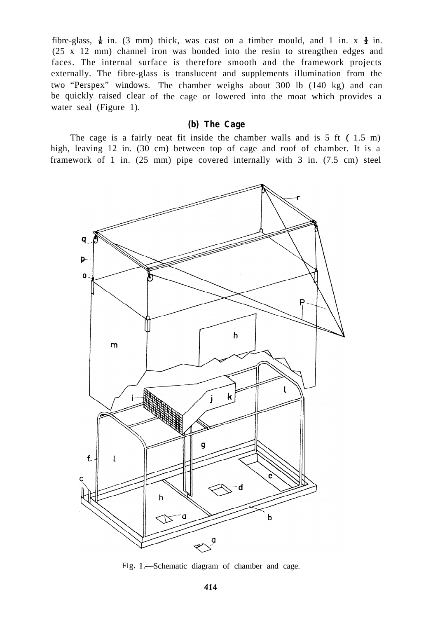fibre-glass,  $\frac{1}{8}$  in. (3 mm) thick, was cast on a timber mould, and 1 in. x  $\frac{1}{2}$  in. (25 x 12 mm) channel iron was bonded into the resin to strengthen edges and faces. The internal surface is therefore smooth and the framework projects externally. The fibre-glass is translucent and supplements illumination from the two "Perspex" windows. The chamber weighs about 300 lb (140 kg) and can be quickly raised clear of the cage or lowered into the moat which provides a water seal (Figure 1).

## *(b) The Cage*

The cage is a fairly neat fit inside the chamber walls and is 5 ft (1.5 m) high, leaving 12 in. (30 cm) between top of cage and roof of chamber. It is a framework of 1 in.  $(25 \text{ mm})$  pipe covered internally with 3 in.  $(7.5 \text{ cm})$  steel



Fig. 1.-Schematic diagram of chamber and cage.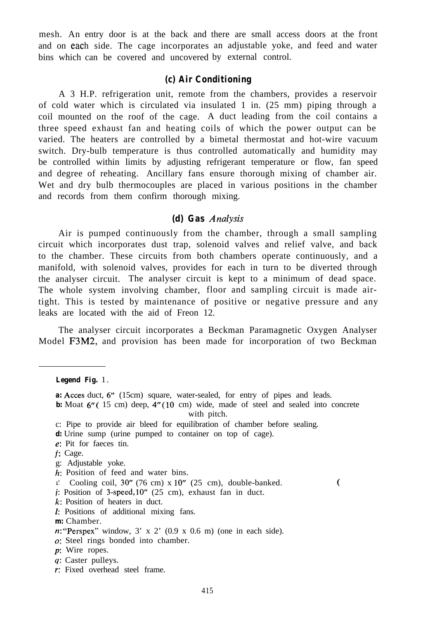mesh. An entry door is at the back and there are small access doors at the front and on each side. The cage incorporates an adjustable yoke, and feed and water bins which can be covered and uncovered by external control.

## *(c) Air Conditioning*

A 3 H.P. refrigeration unit, remote from the chambers, provides a reservoir of cold water which is circulated via insulated 1 in.  $(25 \text{ mm})$  piping through a coil mounted on the roof of the cage. A duct leading from the coil contains a three speed exhaust fan and heating coils of which the power output can be varied. The heaters are controlled by a bimetal thermostat and hot-wire vacuum switch. Dry-bulb temperature is thus controlled automatically and humidity may be controlled within limits by adjusting refrigerant temperature or flow, fan speed and degree of reheating. Ancillary fans ensure thorough mixing of chamber air. Wet and dry bulb thermocouples are placed in various positions in the chamber and records from them confirm thorough mixing.

## *(d)* Gas Analysis

Air is pumped continuously from the chamber, through a small sampling circuit which incorporates dust trap, solenoid valves and relief valve, and back to the chamber. These circuits from both chambers operate continuously, and a manifold, with solenoid valves, provides for each in turn to be diverted through the analyser circuit. The analyser circuit is kept to a minimum of dead space. The whole system involving chamber, floor and sampling circuit is made airtight. This is tested by maintenance of positive or negative pressure and any leaks are located with the aid of Freon 12.

The analyser circuit incorporates a Beckman Paramagnetic Oxygen Analyser Model F3M2, and provision has been made for incorporation of two Beckman

*Legend Fig.* 1.

- *a:* Acces duct, 6" (15cm) square, water-sealed, for entry of pipes and leads.
- *b:* Moat 6" (15 cm) deep,  $4$ " (10 cm) wide, made of steel and sealed into concrete with pitch.

(

c: Pipe to provide air bleed for equilibration of chamber before sealing.

d: Urine sump (urine pumped to container on top of cage).

- e: Pit for faeces tin.
- f: Cage.
- g: Adjustable yoke.
- h: Position of feed and water bins.
- $1^{\dagger}$  Cooling coil, 30" (76 cm) x 10" (25 cm), double-banked.
- i: Position of 3-speed, 10" (25 cm), exhaust fan in duct.
- k: Position of heaters in duct.
- I: Positions of additional mixing fans.
- *m:* Chamber.
- $n$  "Perspex" window,  $3'$  x 2' (0.9 x 0.6 m) (one in each side).
- o: Steel rings bonded into chamber.
- p: Wire ropes.
- 4: Caster pulleys.
- r: Fixed overhead steel frame.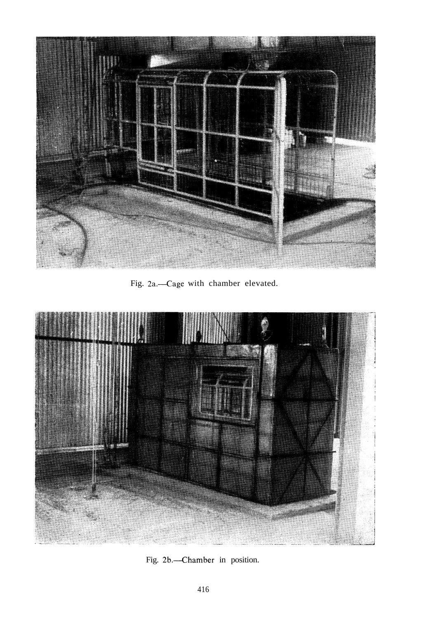

Fig. 2a.-Cage with chamber elevated.



Fig. 2b.--Chamber in position.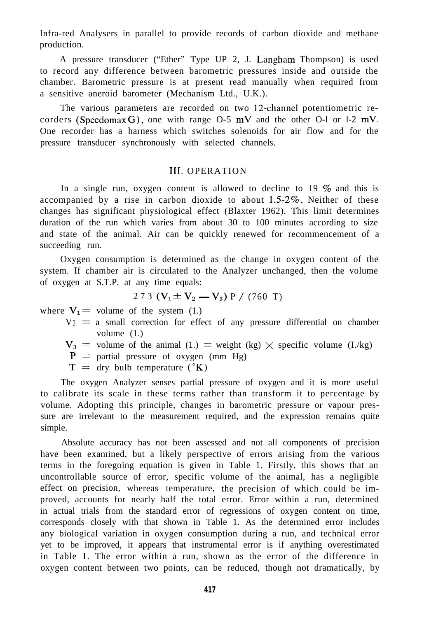Infra-red Analysers in parallel to provide records of carbon dioxide and methane production.

A pressure transducer ("Ether" Type UP 2, J. Langham Thompson) is used to record any difference between barometric pressures inside and outside the chamber. Barometric pressure is at present read manually when required from a sensitive aneroid barometer (Mechanism Ltd., U.K.).

The various parameters are recorded on two 12-channel potentiometric recorders (Speedomax G), one with range  $O-5$  mV and the other  $O-1$  or  $1-2$  mV. One recorder has a harness which switches solenoids for air flow and for the pressure transducer synchronously with selected channels.

#### 111. OPERATION

In a single run, oxygen content is allowed to decline to  $19\%$  and this is accompanied by a rise in carbon dioxide to about  $1.5-2\%$ . Neither of these changes has significant physiological effect (Blaxter 1962). This limit determines duration of the run which varies from about 30 to 100 minutes according to size and state of the animal. Air can be quickly renewed for recommencement of a succeeding run.

Oxygen consumption is determined as the change in oxygen content of the system. If chamber air is circulated to the Analyzer unchanged, then the volume of oxygen at S.T.P. at any time equals:<br>  $273 \text{ (V}_1 \pm \text{V}_2 \text{ - V}_3) \text{ P}$  / (760 T)

273 
$$
(V_1 \pm V_2 - V_3) P / (760 T)
$$

where  $V_1$  = volume of the system (1.)

- $V_2$  = a small correction for effect of any pressure differential on chamber volume (1.)
- $V_3$  = volume of the animal (1.) = weight (kg)  $\times$  specific volume (I./kg)

 $P =$  partial pressure of oxygen (mm Hg)

 $T =$  dry bulb temperature ( $K$ )

The oxygen Analyzer senses partial pressure of oxygen and it is more useful to calibrate its scale in these terms rather than transform it to percentage by volume. Adopting this principle, changes in barometric pressure or vapour pressure are irrelevant to the measurement required, and the expression remains quite simple.

Absolute accuracy has not been assessed and not all components of precision have been examined, but a likely perspective of errors arising from the various terms in the foregoing equation is given in Table 1. Firstly, this shows that an uncontrollable source of error, specific volume of the animal, has a negligible effect on precision, whereas temperature, the precision of which could be improved, accounts for nearly half the total error. Error within a run, determined in actual trials from the standard error of regressions of oxygen content on time, corresponds closely with that shown in Table 1. As the determined error includes any biological variation in oxygen consumption during a run, and technical error yet to be improved, it appears that instrumental error is if anything overestimated in Table 1. The error within a run, shown as the error of the difference in oxygen content between two points, can be reduced, though not dramatically, by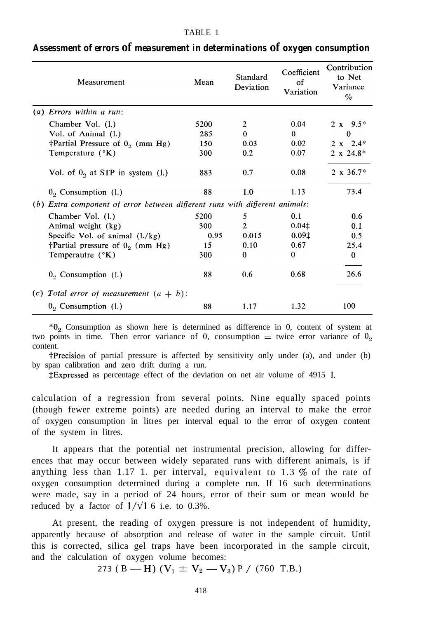| Measurement                                                                 | Mean | Standard<br>Deviation | Coefficient<br>of<br>Variation | Contribution<br>to Net<br>Variance<br>$\%$ |
|-----------------------------------------------------------------------------|------|-----------------------|--------------------------------|--------------------------------------------|
| $(a)$ Errors within a run:                                                  |      |                       |                                |                                            |
| Chamber Vol. (1.)                                                           | 5200 | 2                     | 0.04                           | $2 x 9.5*$                                 |
| Vol. of Animal (l.)                                                         | 285  | $\mathbf{0}$          | $\Omega$                       | 0                                          |
| †Partial Pressure of $02$ (mm Hg)                                           | 150  | 0.03                  | 0.02                           | $2 x 2.4*$                                 |
| Temperature $(^{\circ}K)$                                                   | 300  | 0.2                   | 0.07                           | $2 \times 24.8^*$                          |
| Vol. of $0_2$ at STP in system (1.)                                         | 883  | 0.7                   | 0.08                           | $2 \times 36.7^*$                          |
| $02$ Consumption (1.)                                                       | 88   | 1.0                   | 1.13                           | 73.4                                       |
| (b) Extra component of error between different runs with different animals: |      |                       |                                |                                            |
| Chamber Vol. (1.)                                                           | 5200 | 5                     | 0.1                            | 0.6                                        |
| Animal weight (kg)                                                          | 300  | $\mathbf{2}$          | 0.041                          | 0.1                                        |
| Specific Vol. of animal $(l./kg)$                                           | 0.95 | 0.015                 | 0.091                          | 0.5                                        |
| †Partial pressure of $02$ (mm Hg)                                           | 15   | 0.10                  | 0.67                           | 25.4                                       |
| Temperautre $(^{\circ}K)$                                                   | 300  | $\mathbf{0}$          | $\theta$                       | $\bf{0}$                                   |
| $00$ Consumption $(1.)$                                                     | 88   | 0.6                   | 0.68                           | 26.6                                       |
| (c) Total error of measurement $(a + b)$ :                                  |      |                       |                                |                                            |
| $02$ Consumption (1.)                                                       | 88   | 1.17                  | 1.32                           | 100                                        |

# TABLE 1 *Assessment of errors* **of** *measurement in determinations* **of** *oxygen consumption*

\*O, Consumption as shown here is determined as difference in 0, content of system at two points in time. Then error variance of 0, consumption  $=$  twice error variance of  $0<sub>2</sub>$ content.

+Precision of partial pressure is affected by sensitivity only under (a), and under (b) by span calibration and zero drift during a run.

JExpressed as percentage effect of the deviation on net air volume of 4915 1.

calculation of a regression from several points. Nine equally spaced points (though fewer extreme points) are needed during an interval to make the error of oxygen consumption in litres per interval equal to the error of oxygen content of the system in litres.

It appears that the potential net instrumental precision, allowing for differences that may occur between widely separated runs with different animals, is if anything less than 1.17 1. per interval, equivalent to 1.3  $\%$  of the rate of oxygen consumption determined during a complete run. If 16 such determinations were made, say in a period of 24 hours, error of their sum or mean would be reduced by a factor of  $1/\sqrt{1}$  6 i.e. to 0.3%.

At present, the reading of oxygen pressure is not independent of humidity, apparently because of absorption and release of water in the sample circuit. Until this is corrected, silica gel traps have been incorporated in the sample circuit, and the calculation of oxygen volume becomes:

*273* (B — H) (V<sub>1</sub>  $\pm$  V<sub>2</sub> — V<sub>3</sub>) P / (760 T.B.)